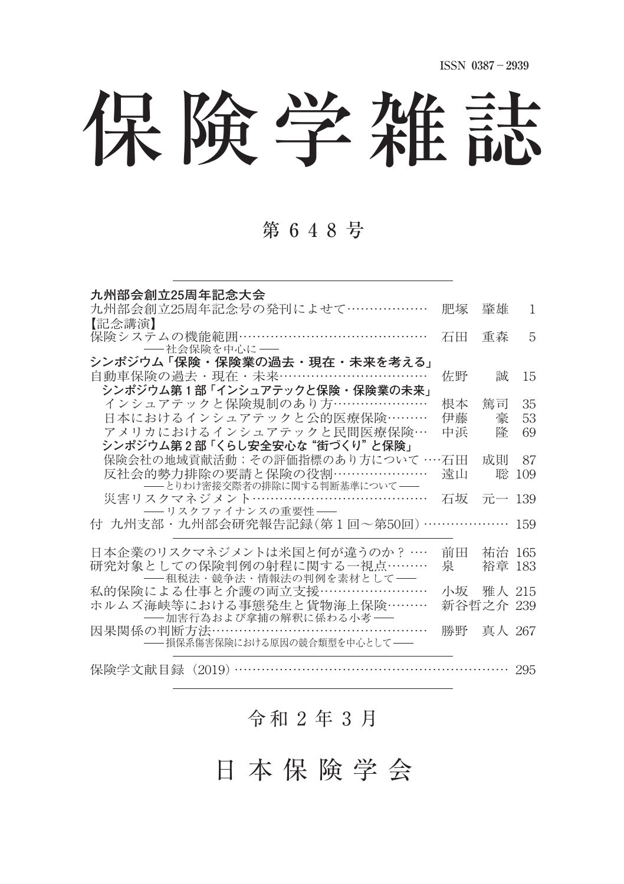# 保険学雑誌

### 第 6 4 8 号

| 九州部会創立25周年記念大会                                             |           |        |     |
|------------------------------------------------------------|-----------|--------|-----|
| 九州部会創立25周年記念号の発刊によせて………………                                 | 肥塚        | 肇雄     | 1   |
| 【記念講演】                                                     |           |        |     |
| 保険システムの機能範囲……………………………………                                  | 石田        | 重森     | 5   |
| -- 社会保険を中心に --                                             |           |        |     |
| シンポジウム 「保険・保険業の過去・現在・未来を考える」                               |           |        |     |
| 自動車保険の過去・現在・未来……………………………                                  | 佐野        | 誠      | 15  |
| シンポジウム第1部 「インシュアテックと保険・保険業の未来」                             |           |        |     |
| インシュアテックと保険規制のあり方…………………                                   | 根本        | 篤司     | 35  |
| 日本におけるインシュアテックと公的医療保険………                                   | 伊藤        | 豪      | 53  |
| アメリカにおけるインシュアテックと民間医療保険…                                   | 中浜        | 隆      | 69  |
| シンポジウム第2部 「くらし安全安心な "街づくり" と保険」                            |           |        |     |
| 保険会社の地域貢献活動; その評価指標のあり方について … 石田                           |           | 成則     | 87  |
| 反社会的勢力排除の要請と保険の役割…………………                                   | 遠山        | 聡      | 109 |
| -- とりわけ密接交際者の排除に関する判断基準について --<br>災害リスクマネジメント………………………………… | 石坂        | 元一 139 |     |
| ―― リスクファイナンスの重要性――                                         |           |        |     |
| 付 九州支部・九州部会研究報告記録(第1回~第50回)………………                          |           |        | 159 |
|                                                            |           |        |     |
| 日本企業のリスクマネジメントは米国と何が違うのか? …                                | 前田        | 祐治 165 |     |
| 研究対象としての保険判例の射程に関する一視点………                                  | 泉         | 裕章 183 |     |
| -- 租税法・競争法・情報法の判例を素材として-                                   |           |        |     |
| 私的保険による仕事と介護の両立支援……………………                                  | 小坂        | 雅人 215 |     |
| ホルムズ海峡等における事熊発生と貨物海上保険………                                  | 新谷哲之介 239 |        |     |
| ――加害行為および拿捕の解釈に係わる小考――                                     |           |        |     |
| 因果関係の判断方法…………………………………………                                  | 勝野        | 真人 267 |     |
| -- 損保系傷害保険における原因の競合類型を中心として--                              |           |        |     |
|                                                            |           |        |     |
| 保険学文献目録(2019)                                              |           |        |     |

## 令和 2 年 3 月

日 本 保 険 学 会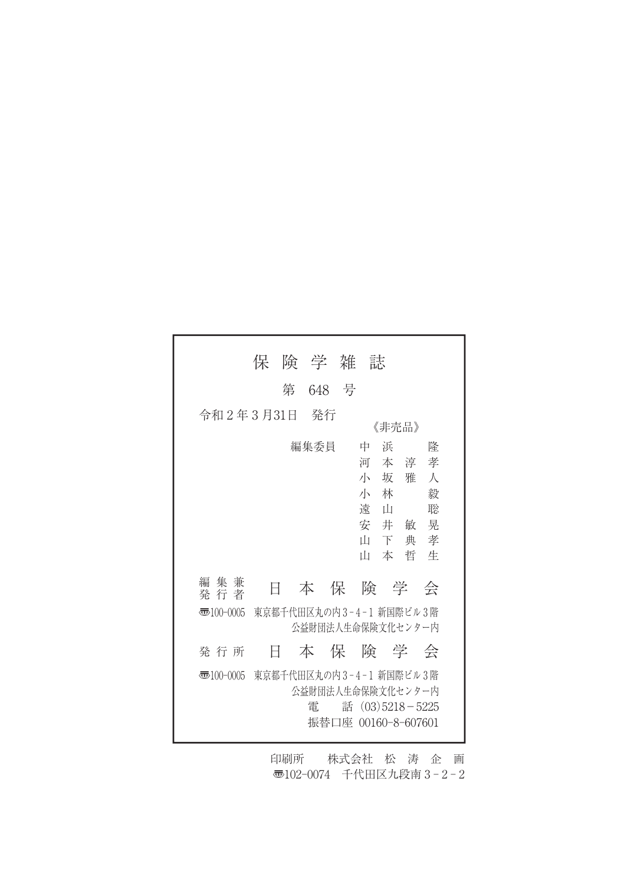|                        | 保 | 険 学 雑 |       | 誄                                                                                      |                                                           |
|------------------------|---|-------|-------|----------------------------------------------------------------------------------------|-----------------------------------------------------------|
|                        |   | 第     | 648 号 |                                                                                        |                                                           |
| 令和 2年3月31日             |   | - 発行  |       | 《非売品》                                                                                  |                                                           |
|                        |   | 編集委員  |       | 中<br>浜<br>河<br>小<br>坂<br>小<br>林<br>遠<br>Ш<br>安井敏<br>Ш<br>下<br>Ш<br>本                   | 降<br>本淳<br>孝<br>人<br>雅<br>毅<br>聡<br>晃<br>孝<br>典<br>哲<br>牛 |
| 集<br>編<br>兼<br>発 行 者   | Ħ |       |       | 本 保 険 学 会                                                                              |                                                           |
| $\overline{3}100-0005$ |   |       |       | 東京都千代田区丸の内3-4-1 新国際ビル3階<br>公益財団法人生命保険文化センター内                                           |                                                           |
| 発 行 所                  | H |       |       | 本 保 険 学 会                                                                              |                                                           |
| 雨100-0005              |   | 雷     |       | 東京都千代田区丸の内3-4-1 新国際ビル3階<br>公益財団法人生命保険文化センター内<br>話 (03)5218-5225<br>振替口座 00160-8-607601 |                                                           |

印刷所 株式会社 松 涛 企 画 〠102-0074 千代田区九段南 3 - 2 - 2